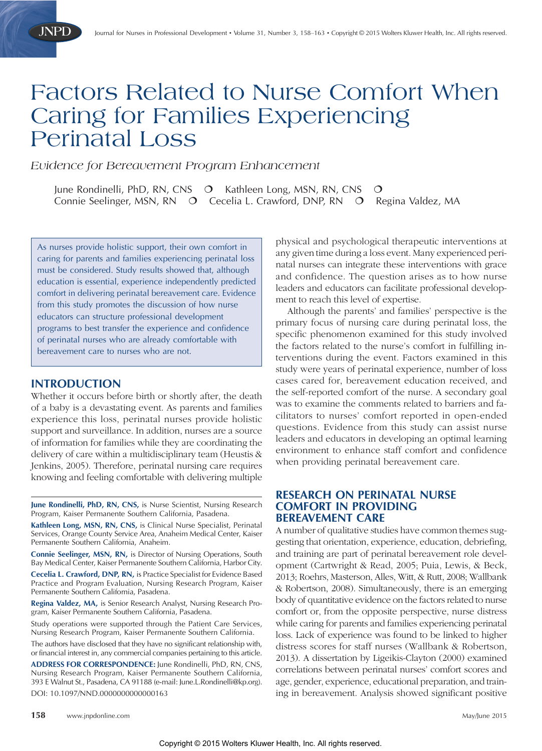# Factors Related to Nurse Comfort When Caring for Families Experiencing Perinatal Loss

## Evidence for Bereavement Program Enhancement

June Rondinelli, PhD, RN, CNS  $\bigcirc$  Kathleen Long, MSN, RN, CNS Connie Seelinger, MSN, RN **O** Cecelia L. Crawford, DNP, RN **O** Regina Valdez, MA

As nurses provide holistic support, their own comfort in caring for parents and families experiencing perinatal loss must be considered. Study results showed that, although education is essential, experience independently predicted comfort in delivering perinatal bereavement care. Evidence from this study promotes the discussion of how nurse educators can structure professional development programs to best transfer the experience and confidence of perinatal nurses who are already comfortable with bereavement care to nurses who are not.

#### INTRODUCTION

Whether it occurs before birth or shortly after, the death of a baby is a devastating event. As parents and families experience this loss, perinatal nurses provide holistic support and surveillance. In addition, nurses are a source of information for families while they are coordinating the delivery of care within a multidisciplinary team (Heustis & Jenkins, 2005). Therefore, perinatal nursing care requires knowing and feeling comfortable with delivering multiple

June Rondinelli, PhD, RN, CNS, is Nurse Scientist, Nursing Research Program, Kaiser Permanente Southern California, Pasadena.

Kathleen Long, MSN, RN, CNS, is Clinical Nurse Specialist, Perinatal Services, Orange County Service Area, Anaheim Medical Center, Kaiser Permanente Southern California, Anaheim.

Connie Seelinger, MSN, RN, is Director of Nursing Operations, South Bay Medical Center, Kaiser Permanente Southern California, Harbor City.

Cecelia L. Crawford, DNP, RN, is Practice Specialist for Evidence Based Practice and Program Evaluation, Nursing Research Program, Kaiser Permanente Southern California, Pasadena.

Regina Valdez, MA, is Senior Research Analyst, Nursing Research Program, Kaiser Permanente Southern California, Pasadena.

Study operations were supported through the Patient Care Services, Nursing Research Program, Kaiser Permanente Southern California.

The authors have disclosed that they have no significant relationship with, or financial interest in, any commercial companies pertaining to this article.

ADDRESS FOR CORRESPONDENCE: June Rondinelli, PhD, RN, CNS, Nursing Research Program, Kaiser Permanente Southern California, 393 E Walnut St., Pasadena, CA 91188 (e<mail: June.L.Rondinelli@kp.org). DOI: 10.1097/NND.0000000000000163

physical and psychological therapeutic interventions at any given time during a loss event. Many experienced perinatal nurses can integrate these interventions with grace and confidence. The question arises as to how nurse leaders and educators can facilitate professional development to reach this level of expertise.

Although the parents' and families' perspective is the primary focus of nursing care during perinatal loss, the specific phenomenon examined for this study involved the factors related to the nurse's comfort in fulfilling interventions during the event. Factors examined in this study were years of perinatal experience, number of loss cases cared for, bereavement education received, and the self-reported comfort of the nurse. A secondary goal was to examine the comments related to barriers and facilitators to nurses' comfort reported in open-ended questions. Evidence from this study can assist nurse leaders and educators in developing an optimal learning environment to enhance staff comfort and confidence when providing perinatal bereavement care.

#### RESEARCH ON PERINATAL NURSE COMFORT IN PROVIDING BEREAVEMENT CARE

A number of qualitative studies have common themes suggesting that orientation, experience, education, debriefing, and training are part of perinatal bereavement role development (Cartwright & Read, 2005; Puia, Lewis, & Beck, 2013; Roehrs, Masterson, Alles, Witt, & Rutt, 2008; Wallbank & Robertson, 2008). Simultaneously, there is an emerging body of quantitative evidence on the factors related to nurse comfort or, from the opposite perspective, nurse distress while caring for parents and families experiencing perinatal loss. Lack of experience was found to be linked to higher distress scores for staff nurses (Wallbank & Robertson, 2013). A dissertation by Ligeikis-Clayton (2000) examined correlations between perinatal nurses' comfort scores and age, gender, experience, educational preparation, and training in bereavement. Analysis showed significant positive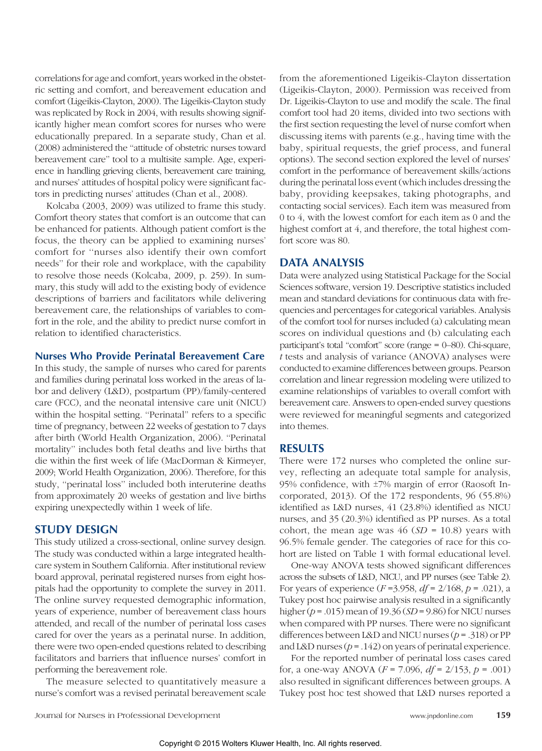correlations for age and comfort, years worked in the obstetric setting and comfort, and bereavement education and comfort (Ligeikis-Clayton, 2000). The Ligeikis-Clayton study was replicated by Rock in 2004, with results showing significantly higher mean comfort scores for nurses who were educationally prepared. In a separate study, Chan et al. (2008) administered the ''attitude of obstetric nurses toward bereavement care'' tool to a multisite sample. Age, experience in handling grieving clients, bereavement care training, and nurses' attitudes of hospital policy were significant factors in predicting nurses' attitudes (Chan et al., 2008).

Kolcaba (2003, 2009) was utilized to frame this study. Comfort theory states that comfort is an outcome that can be enhanced for patients. Although patient comfort is the focus, the theory can be applied to examining nurses' comfort for ''nurses also identify their own comfort needs'' for their role and workplace, with the capability to resolve those needs (Kolcaba, 2009, p. 259). In summary, this study will add to the existing body of evidence descriptions of barriers and facilitators while delivering bereavement care, the relationships of variables to comfort in the role, and the ability to predict nurse comfort in relation to identified characteristics.

#### Nurses Who Provide Perinatal Bereavement Care

In this study, the sample of nurses who cared for parents and families during perinatal loss worked in the areas of labor and delivery (L&D), postpartum (PP)/family-centered care (FCC), and the neonatal intensive care unit (NICU) within the hospital setting. ''Perinatal'' refers to a specific time of pregnancy, between 22 weeks of gestation to 7 days after birth (World Health Organization, 2006). ''Perinatal mortality'' includes both fetal deaths and live births that die within the first week of life (MacDorman & Kirmeyer, 2009; World Health Organization, 2006). Therefore, for this study, ''perinatal loss'' included both interuterine deaths from approximately 20 weeks of gestation and live births expiring unexpectedly within 1 week of life.

## STUDY DESIGN

This study utilized a cross-sectional, online survey design. The study was conducted within a large integrated healthcare system in Southern California. After institutional review board approval, perinatal registered nurses from eight hospitals had the opportunity to complete the survey in 2011. The online survey requested demographic information, years of experience, number of bereavement class hours attended, and recall of the number of perinatal loss cases cared for over the years as a perinatal nurse. In addition, there were two open-ended questions related to describing facilitators and barriers that influence nurses' comfort in performing the bereavement role.

The measure selected to quantitatively measure a nurse's comfort was a revised perinatal bereavement scale from the aforementioned Ligeikis-Clayton dissertation (Ligeikis-Clayton, 2000). Permission was received from Dr. Ligeikis-Clayton to use and modify the scale. The final comfort tool had 20 items, divided into two sections with the first section requesting the level of nurse comfort when discussing items with parents (e.g., having time with the baby, spiritual requests, the grief process, and funeral options). The second section explored the level of nurses' comfort in the performance of bereavement skills/actions during the perinatal loss event (which includes dressing the baby, providing keepsakes, taking photographs, and contacting social services). Each item was measured from 0 to 4, with the lowest comfort for each item as 0 and the highest comfort at 4, and therefore, the total highest comfort score was 80.

## DATA ANALYSIS

Data were analyzed using Statistical Package for the Social Sciences software, version 19. Descriptive statistics included mean and standard deviations for continuous data with frequencies and percentages for categorical variables. Analysis of the comfort tool for nurses included (a) calculating mean scores on individual questions and (b) calculating each participant's total "comfort" score (range  $= 0-80$ ). Chi-square, t tests and analysis of variance (ANOVA) analyses were conducted to examine differences between groups. Pearson correlation and linear regression modeling were utilized to examine relationships of variables to overall comfort with bereavement care. Answers to open-ended survey questions were reviewed for meaningful segments and categorized into themes.

## RESULTS

There were 172 nurses who completed the online survey, reflecting an adequate total sample for analysis, 95% confidence, with  $\pm$ 7% margin of error (Raosoft Incorporated, 2013). Of the 172 respondents, 96 (55.8%) identified as L&D nurses, 41 (23.8%) identified as NICU nurses, and 35 (20.3%) identified as PP nurses. As a total cohort, the mean age was  $46$  (*SD* = 10.8) years with 96.5% female gender. The categories of race for this cohort are listed on Table 1 with formal educational level.

One-way ANOVA tests showed significant differences across the subsets of L&D, NICU, and PP nurses (see Table 2). For years of experience  $(F = 3.958, df = 2/168, p = .021)$ , a Tukey post hoc pairwise analysis resulted in a significantly higher ( $p = .015$ ) mean of 19.36 ( $SD = 9.86$ ) for NICU nurses when compared with PP nurses. There were no significant differences between L&D and NICU nurses  $(p = .318)$  or PP and L&D nurses ( $p = .142$ ) on years of perinatal experience.

For the reported number of perinatal loss cases cared for, a one-way ANOVA ( $F = 7.096$ ,  $df = 2/153$ ,  $p = .001$ ) also resulted in significant differences between groups. A Tukey post hoc test showed that L&D nurses reported a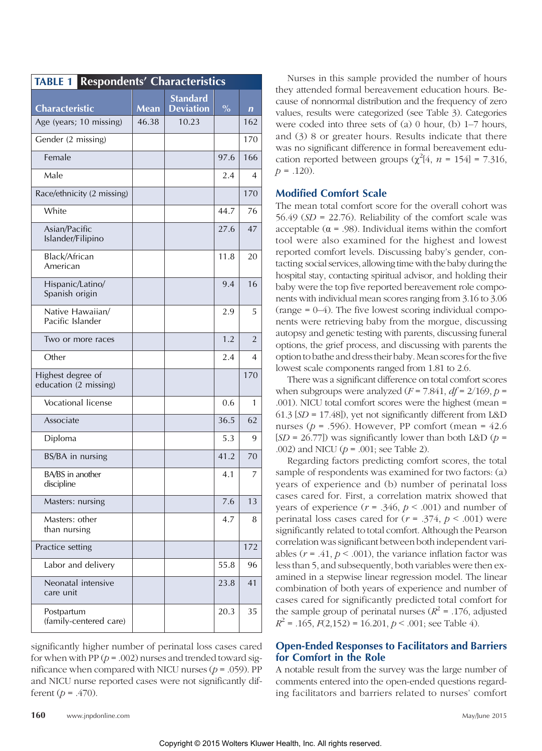| <b>Respondents' Characteristics</b><br><b>TABLE 1</b> |       |                                     |      |             |  |
|-------------------------------------------------------|-------|-------------------------------------|------|-------------|--|
| <b>Characteristic</b>                                 | Mean  | <b>Standard</b><br><b>Deviation</b> | $\%$ | $\mathbf n$ |  |
| Age (years; 10 missing)                               | 46.38 | 10.23                               |      | 162         |  |
| Gender (2 missing)                                    |       |                                     |      | 170         |  |
| Female                                                |       |                                     | 97.6 | 166         |  |
| Male                                                  |       |                                     | 2.4  | 4           |  |
| Race/ethnicity (2 missing)                            |       |                                     |      | 170         |  |
| White                                                 |       |                                     | 44.7 | 76          |  |
| Asian/Pacific<br>Islander/Filipino                    |       |                                     | 27.6 | 47          |  |
| Black/African<br>American                             |       |                                     | 11.8 | 20          |  |
| Hispanic/Latino/<br>Spanish origin                    |       |                                     | 9.4  | 16          |  |
| Native Hawaiian/<br>Pacific Islander                  |       |                                     | 2.9  | 5           |  |
| Two or more races                                     |       |                                     | 1.2  | 2           |  |
| Other                                                 |       |                                     | 2.4  | 4           |  |
| Highest degree of<br>education (2 missing)            |       |                                     |      | 170         |  |
| Vocational license                                    |       |                                     | 0.6  | 1           |  |
| Associate                                             |       |                                     | 36.5 | 62          |  |
| Diploma                                               |       |                                     | 5.3  | 9           |  |
| BS/BA in nursing                                      |       |                                     | 41.2 | 70          |  |
| BA/BS in another<br>discipline                        |       |                                     | 4.1  | 7           |  |
| Masters: nursing                                      |       |                                     | 7.6  | 13          |  |
| Masters: other<br>than nursing                        |       |                                     | 4.7  | 8           |  |
| Practice setting                                      |       |                                     |      | 172         |  |
| Labor and delivery                                    |       |                                     | 55.8 | 96          |  |
| Neonatal intensive<br>care unit                       |       |                                     | 23.8 | 41          |  |
| Postpartum<br>(family-centered care)                  |       |                                     | 20.3 | 35          |  |

significantly higher number of perinatal loss cases cared for when with PP ( $p = .002$ ) nurses and trended toward significance when compared with NICU nurses  $(p = .059)$ . PP and NICU nurse reported cases were not significantly different  $(p = .470)$ .

Nurses in this sample provided the number of hours they attended formal bereavement education hours. Because of nonnormal distribution and the frequency of zero values, results were categorized (see Table 3). Categories were coded into three sets of  $(a)$  0 hour,  $(b)$  1-7 hours, and (3) 8 or greater hours. Results indicate that there was no significant difference in formal bereavement education reported between groups  $(\chi^2[4, n = 154] = 7.316,$  $p = .120$ ).

#### Modified Comfort Scale

The mean total comfort score for the overall cohort was 56.49 ( $SD = 22.76$ ). Reliability of the comfort scale was acceptable ( $\alpha$  = .98). Individual items within the comfort tool were also examined for the highest and lowest reported comfort levels. Discussing baby's gender, contacting social services, allowing time with the baby during the hospital stay, contacting spiritual advisor, and holding their baby were the top five reported bereavement role components with individual mean scores ranging from 3.16 to 3.06  $(range = 0-4)$ . The five lowest scoring individual components were retrieving baby from the morgue, discussing autopsy and genetic testing with parents, discussing funeral options, the grief process, and discussing with parents the option to bathe and dress their baby. Mean scores for the five lowest scale components ranged from 1.81 to 2.6.

There was a significant difference on total comfort scores when subgroups were analyzed  $(F = 7.841, df = 2/169, p =$ .001). NICU total comfort scores were the highest (mean =  $61.3$  [SD = 17.48]), yet not significantly different from L&D nurses ( $p = .596$ ). However, PP comfort (mean = 42.6)  $[SD = 26.77]$ ) was significantly lower than both L&D ( $p =$ .002) and NICU  $(p = .001;$  see Table 2).

Regarding factors predicting comfort scores, the total sample of respondents was examined for two factors: (a) years of experience and (b) number of perinatal loss cases cared for. First, a correlation matrix showed that years of experience  $(r = .346, p < .001)$  and number of perinatal loss cases cared for  $(r = .374, p < .001)$  were significantly related to total comfort. Although the Pearson correlation was significant between both independent variables ( $r = .41$ ,  $p < .001$ ), the variance inflation factor was less than 5, and subsequently, both variables were then examined in a stepwise linear regression model. The linear combination of both years of experience and number of cases cared for significantly predicted total comfort for the sample group of perinatal nurses ( $R^2$  = .176, adjusted  $R^2$  = .165,  $F(2,152)$  = 16.201,  $p < .001$ ; see Table 4).

#### Open-Ended Responses to Facilitators and Barriers for Comfort in the Role

A notable result from the survey was the large number of comments entered into the open-ended questions regarding facilitators and barriers related to nurses' comfort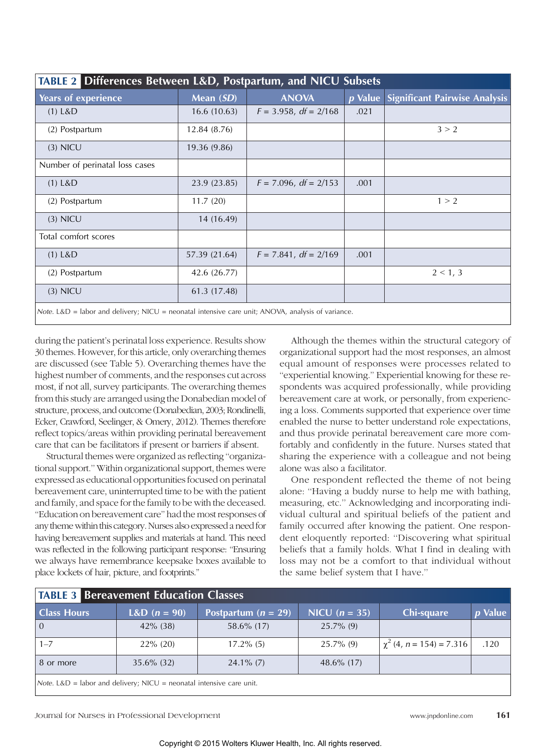| <b>TABLE 2</b> Differences Between L&D, Postpartum, and NICU Subsets                                     |               |                            |      |                                              |
|----------------------------------------------------------------------------------------------------------|---------------|----------------------------|------|----------------------------------------------|
| <b>Years of experience</b>                                                                               | Mean (SD)     | <b>ANOVA</b>               |      | <i>p</i> Value Significant Pairwise Analysis |
| $(1)$ L&D                                                                                                | 16.6 (10.63)  | $F = 3.958$ , $df = 2/168$ | .021 |                                              |
| (2) Postpartum                                                                                           | 12.84 (8.76)  |                            |      | 3 > 2                                        |
| $(3)$ NICU                                                                                               | 19.36 (9.86)  |                            |      |                                              |
| Number of perinatal loss cases                                                                           |               |                            |      |                                              |
| $(1)$ L&D                                                                                                | 23.9 (23.85)  | $F = 7.096$ , $df = 2/153$ | .001 |                                              |
| (2) Postpartum                                                                                           | 11.7(20)      |                            |      | 1 > 2                                        |
| $(3)$ NICU                                                                                               | 14 (16.49)    |                            |      |                                              |
| Total comfort scores                                                                                     |               |                            |      |                                              |
| $(1)$ L&D                                                                                                | 57.39 (21.64) | $F = 7.841$ , df = 2/169   | .001 |                                              |
| (2) Postpartum                                                                                           | 42.6 (26.77)  |                            |      | 2 < 1, 3                                     |
| $(3)$ NICU                                                                                               | 61.3 (17.48)  |                            |      |                                              |
| <i>Note.</i> L&D = labor and delivery; NICU = neonatal intensive care unit; ANOVA, analysis of variance. |               |                            |      |                                              |

during the patient's perinatal loss experience. Results show 30 themes. However, for this article, only overarching themes are discussed (see Table 5). Overarching themes have the highest number of comments, and the responses cut across most, if not all, survey participants. The overarching themes from this study are arranged using the Donabedian model of structure, process, and outcome (Donabedian, 2003; Rondinelli, Ecker, Crawford, Seelinger, & Omery, 2012). Themes therefore reflect topics/areas within providing perinatal bereavement care that can be facilitators if present or barriers if absent.

Structural themes were organized as reflecting ''organizational support.'' Within organizational support, themes were expressed as educational opportunities focused on perinatal bereavement care, uninterrupted time to be with the patient and family, and space for the family to be with the deceased. ''Education on bereavement care'' had the most responses of anythemewithinthis category.Nurses also expressed a needfor having bereavement supplies and materials at hand. This need was reflected in the following participant response: ''Ensuring we always have remembrance keepsake boxes available to place lockets of hair, picture, and footprints.''

Although the themes within the structural category of organizational support had the most responses, an almost equal amount of responses were processes related to ''experiential knowing.'' Experiential knowing for these respondents was acquired professionally, while providing bereavement care at work, or personally, from experiencing a loss. Comments supported that experience over time enabled the nurse to better understand role expectations, and thus provide perinatal bereavement care more comfortably and confidently in the future. Nurses stated that sharing the experience with a colleague and not being alone was also a facilitator.

One respondent reflected the theme of not being alone: ''Having a buddy nurse to help me with bathing, measuring, etc.'' Acknowledging and incorporating individual cultural and spiritual beliefs of the patient and family occurred after knowing the patient. One respondent eloquently reported: ''Discovering what spiritual beliefs that a family holds. What I find in dealing with loss may not be a comfort to that individual without the same belief system that I have.''

| <b>TABLE 3 Bereavement Education Classes</b>                                |                           |                         |                 |                               |              |
|-----------------------------------------------------------------------------|---------------------------|-------------------------|-----------------|-------------------------------|--------------|
| <b>Class Hours</b>                                                          | <b>L&amp;D</b> $(n = 90)$ | Postpartum ( $n = 29$ ) | NICU $(n = 35)$ | Chi-square                    | <b>Value</b> |
| $\overline{0}$                                                              | $42\%$ (38)               | 58.6% (17)              | $25.7\%$ (9)    |                               |              |
| $1 - 7$                                                                     | $22\%$ (20)               | $17.2\%$ (5)            | $25.7\%$ (9)    | $\chi^2$ (4, n = 154) = 7.316 | .120         |
| 8 or more                                                                   | $35.6\%$ (32)             | $24.1\%$ (7)            | $48.6\%$ (17)   |                               |              |
| $N$ ote $1.8$ D – Jabor and delivery: $NICU =$ neonatal intensive care unit |                           |                         |                 |                               |              |

Note.  $L&D =$  labor and delivery; NICU = neonatal intensive care unit.

Journal for Nurses in Professional Development www.jnpdonline.com 161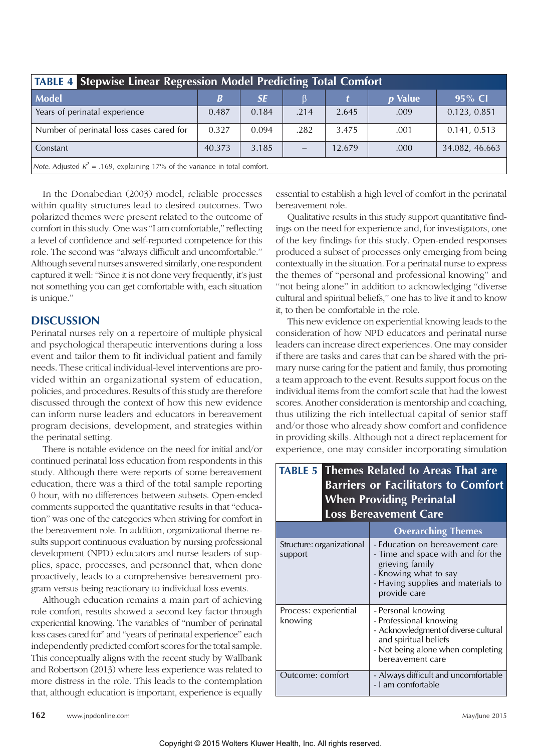| <b>TABLE 4 Stepwise Linear Regression Model Predicting Total Comfort</b>             |        |           |      |        |                |                |
|--------------------------------------------------------------------------------------|--------|-----------|------|--------|----------------|----------------|
| <b>Model</b>                                                                         | B      | <b>SE</b> |      |        | <i>p</i> Value | $95\%$ Cl      |
| Years of perinatal experience                                                        | 0.487  | 0.184     | .214 | 2.645  | .009           | 0.123, 0.851   |
| Number of perinatal loss cases cared for                                             | 0.327  | 0.094     | .282 | 3.475  | .001           | 0.141, 0.513   |
| Constant                                                                             | 40.373 | 3.185     |      | 12.679 | .000           | 34.082, 46.663 |
| <i>Note.</i> Adjusted $R^2$ = .169, explaining 17% of the variance in total comfort. |        |           |      |        |                |                |

In the Donabedian (2003) model, reliable processes within quality structures lead to desired outcomes. Two polarized themes were present related to the outcome of comfort in this study. One was ''I am comfortable,'' reflecting a level of confidence and self-reported competence for this role. The second was ''always difficult and uncomfortable.'' Although several nurses answered similarly, one respondent captured it well: ''Since it is not done very frequently, it's just not something you can get comfortable with, each situation is unique.''

## **DISCUSSION**

Perinatal nurses rely on a repertoire of multiple physical and psychological therapeutic interventions during a loss event and tailor them to fit individual patient and family needs. These critical individual-level interventions are provided within an organizational system of education, policies, and procedures. Results of this study are therefore discussed through the context of how this new evidence can inform nurse leaders and educators in bereavement program decisions, development, and strategies within the perinatal setting.

There is notable evidence on the need for initial and/or continued perinatal loss education from respondents in this study. Although there were reports of some bereavement education, there was a third of the total sample reporting 0 hour, with no differences between subsets. Open-ended comments supported the quantitative results in that ''education'' was one of the categories when striving for comfort in the bereavement role. In addition, organizational theme results support continuous evaluation by nursing professional development (NPD) educators and nurse leaders of supplies, space, processes, and personnel that, when done proactively, leads to a comprehensive bereavement program versus being reactionary to individual loss events.

Although education remains a main part of achieving role comfort, results showed a second key factor through experiential knowing. The variables of ''number of perinatal loss cases cared for'' and ''years of perinatal experience'' each independently predicted comfort scores for the total sample. This conceptually aligns with the recent study by Wallbank and Robertson (2013) where less experience was related to more distress in the role. This leads to the contemplation that, although education is important, experience is equally

essential to establish a high level of comfort in the perinatal bereavement role.

Qualitative results in this study support quantitative findings on the need for experience and, for investigators, one of the key findings for this study. Open-ended responses produced a subset of processes only emerging from being contextually in the situation. For a perinatal nurse to express the themes of ''personal and professional knowing'' and "not being alone" in addition to acknowledging "diverse" cultural and spiritual beliefs,'' one has to live it and to know it, to then be comfortable in the role.

This new evidence on experiential knowing leads to the consideration of how NPD educators and perinatal nurse leaders can increase direct experiences. One may consider if there are tasks and cares that can be shared with the primary nurse caring for the patient and family, thus promoting a team approach to the event. Results support focus on the individual items from the comfort scale that had the lowest scores. Another consideration is mentorship and coaching, thus utilizing the rich intellectual capital of senior staff and/or those who already show comfort and confidence in providing skills. Although not a direct replacement for experience, one may consider incorporating simulation

## TABLE 5 Themes Related to Areas That are Barriers or Facilitators to Comfort When Providing Perinatal Loss Bereavement Care

|                                      | <b>Overarching Themes</b>                                                                                                                                              |
|--------------------------------------|------------------------------------------------------------------------------------------------------------------------------------------------------------------------|
| Structure: organizational<br>support | - Education on bereavement care<br>- Time and space with and for the<br>grieving family<br>- Knowing what to say<br>- Having supplies and materials to<br>provide care |
| Process: experiential<br>knowing     | - Personal knowing<br>- Professional knowing<br>- Acknowledgment of diverse cultural<br>and spiritual beliefs<br>- Not being alone when completing<br>bereavement care |
| Outcome: comfort                     | - Always difficult and uncomfortable<br>- Lam comfortable                                                                                                              |